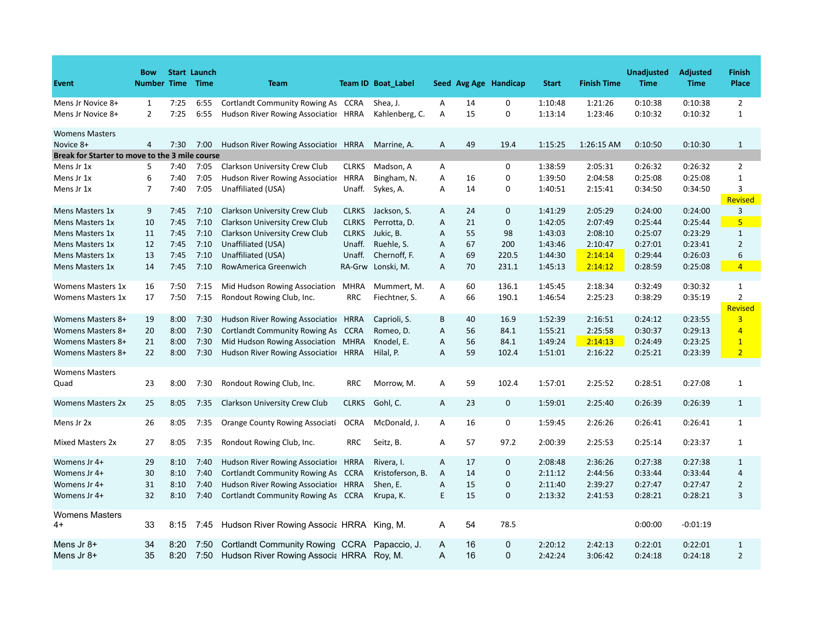| Event                                          | <b>Bow</b><br><b>Number Time</b> |              | <b>Start Launch</b><br><b>Time</b> | <b>Team</b>                                                           |              | <b>Team ID Boat Label</b>  |              |          | Seed Avg Age Handicap | <b>Start</b>       | <b>Finish Time</b> | <b>Unadjusted</b><br><b>Time</b> | <b>Adjusted</b><br><b>Time</b> | <b>Finish</b><br>Place         |
|------------------------------------------------|----------------------------------|--------------|------------------------------------|-----------------------------------------------------------------------|--------------|----------------------------|--------------|----------|-----------------------|--------------------|--------------------|----------------------------------|--------------------------------|--------------------------------|
| Mens Jr Novice 8+<br>Mens Jr Novice 8+         | $\mathbf{1}$<br>$\overline{2}$   | 7:25<br>7:25 | 6:55<br>6:55                       | Cortlandt Community Rowing As<br>Hudson River Rowing Associatiol HRRA | <b>CCRA</b>  | Shea, J.<br>Kahlenberg, C. | Α<br>Α       | 14<br>15 | 0<br>0                | 1:10:48<br>1:13:14 | 1:21:26<br>1:23:46 | 0:10:38<br>0:10:32               | 0:10:38<br>0:10:32             | $\overline{2}$<br>$\mathbf{1}$ |
| <b>Womens Masters</b><br>Novice 8+             | $\overline{4}$                   | 7:30         | 7:00                               | Hudson River Rowing Association                                       | <b>HRRA</b>  | Marrine, A.                | A            | 49       | 19.4                  | 1:15:25            | 1:26:15 AM         | 0:10:50                          | 0:10:30                        | 1                              |
| Break for Starter to move to the 3 mile course |                                  |              |                                    |                                                                       |              |                            |              |          |                       |                    |                    |                                  |                                |                                |
| Mens Jr 1x                                     | 5                                | 7:40         | 7:05                               | Clarkson University Crew Club                                         | <b>CLRKS</b> | Madson, A                  | A            |          | 0                     | 1:38:59            | 2:05:31            | 0:26:32                          | 0:26:32                        | 2                              |
| Mens Jr 1x                                     | 6                                | 7:40         | 7:05                               | Hudson River Rowing Association                                       | <b>HRRA</b>  | Bingham, N.                | Α            | 16       | 0                     | 1:39:50            | 2:04:58            | 0:25:08                          | 0:25:08                        | $\mathbf{1}$                   |
| Mens Jr 1x                                     | 7                                | 7:40         | 7:05                               | Unaffiliated (USA)                                                    | Unaff.       | Sykes, A.                  | Α            | 14       | 0                     | 1:40:51            | 2:15:41            | 0:34:50                          | 0:34:50                        | 3<br><b>Revised</b>            |
| Mens Masters 1x                                | 9                                | 7:45         | 7:10                               | Clarkson University Crew Club                                         | <b>CLRKS</b> | Jackson, S.                | A            | 24       | 0                     | 1:41:29            | 2:05:29            | 0:24:00                          | 0:24:00                        | 3                              |
| Mens Masters 1x                                | 10                               | 7:45         | 7:10                               | Clarkson University Crew Club                                         | <b>CLRKS</b> | Perrotta, D.               | Α            | 21       | 0                     | 1:42:05            | 2:07:49            | 0:25:44                          | 0:25:44                        | 5                              |
| Mens Masters 1x                                | 11                               | 7:45         | 7:10                               | Clarkson University Crew Club                                         | <b>CLRKS</b> | Jukic, B.                  | A            | 55       | 98                    | 1:43:03            | 2:08:10            | 0:25:07                          | 0:23:29                        | $\mathbf{1}$                   |
| Mens Masters 1x                                | 12                               | 7:45         | 7:10                               | Unaffiliated (USA)                                                    | Unaff.       | Ruehle, S.                 | Α            | 67       | 200                   | 1:43:46            | 2:10:47            | 0:27:01                          | 0:23:41                        | 2                              |
| Mens Masters 1x                                | 13                               | 7:45         | 7:10                               | Unaffiliated (USA)                                                    | Unaff.       | Chernoff, F.               | Α            | 69       | 220.5                 | 1:44:30            | 2:14:14            | 0:29:44                          | 0:26:03                        | 6                              |
| Mens Masters 1x                                | 14                               | 7:45         | 7:10                               | RowAmerica Greenwich                                                  |              | RA-Grw Lonski, M.          | Α            | 70       | 231.1                 | 1:45:13            | 2:14:12            | 0:28:59                          | 0:25:08                        | $\overline{4}$                 |
| <b>Womens Masters 1x</b>                       | 16                               | 7:50         | 7:15                               | Mid Hudson Rowing Association                                         | MHRA         | Mummert, M.                | A            | 60       | 136.1                 | 1:45:45            | 2:18:34            | 0:32:49                          | 0:30:32                        | $\mathbf{1}$                   |
| <b>Womens Masters 1x</b>                       | 17                               | 7:50         | 7:15                               | Rondout Rowing Club, Inc.                                             | <b>RRC</b>   | Fiechtner, S.              | Α            | 66       | 190.1                 | 1:46:54            | 2:25:23            | 0:38:29                          | 0:35:19                        | $\overline{2}$                 |
|                                                |                                  |              |                                    |                                                                       |              |                            |              |          |                       |                    |                    |                                  |                                | <b>Revised</b>                 |
| <b>Womens Masters 8+</b>                       | 19                               | 8:00         | 7:30                               | Hudson River Rowing Association                                       | <b>HRRA</b>  | Caprioli, S.               | B            | 40       | 16.9                  | 1:52:39            | 2:16:51            | 0:24:12                          | 0:23:55                        | $\overline{3}$                 |
| Womens Masters 8+                              | 20                               | 8:00         | 7:30                               | <b>Cortlandt Community Rowing As</b>                                  | <b>CCRA</b>  | Romeo, D.                  | A            | 56       | 84.1                  | 1:55:21            | 2:25:58            | 0:30:37                          | 0:29:13                        | $\overline{4}$                 |
| <b>Womens Masters 8+</b>                       | 21                               | 8:00         | 7:30                               | Mid Hudson Rowing Association                                         | <b>MHRA</b>  | Knodel, E.                 | Α            | 56       | 84.1                  | 1:49:24            | 2:14:13            | 0:24:49                          | 0:23:25                        | $\mathbf{1}$                   |
| Womens Masters 8+                              | 22                               | 8:00         | 7:30                               | Hudson River Rowing Association                                       | <b>HRRA</b>  | Hilal, P.                  | Α            | 59       | 102.4                 | 1:51:01            | 2:16:22            | 0:25:21                          | 0:23:39                        | $\overline{2}$                 |
| <b>Womens Masters</b><br>Quad                  | 23                               | 8:00         | 7:30                               | Rondout Rowing Club, Inc.                                             | <b>RRC</b>   | Morrow, M.                 | Α            | 59       | 102.4                 | 1:57:01            | 2:25:52            | 0:28:51                          | 0:27:08                        | 1                              |
| <b>Womens Masters 2x</b>                       | 25                               | 8:05         | 7:35                               | <b>Clarkson University Crew Club</b>                                  | <b>CLRKS</b> | Gohl, C.                   | A            | 23       | 0                     | 1:59:01            | 2:25:40            | 0:26:39                          | 0:26:39                        | $\mathbf{1}$                   |
| Mens Jr 2x                                     | 26                               | 8:05         | 7:35                               | Orange County Rowing Associati                                        | <b>OCRA</b>  | McDonald, J.               | Α            | 16       | 0                     | 1:59:45            | 2:26:26            | 0:26:41                          | 0:26:41                        | $\mathbf{1}$                   |
| Mixed Masters 2x                               | 27                               | 8:05         | 7:35                               | Rondout Rowing Club, Inc.                                             | <b>RRC</b>   | Seitz, B.                  | A            | 57       | 97.2                  | 2:00:39            | 2:25:53            | 0:25:14                          | 0:23:37                        | 1                              |
| Womens Jr 4+                                   | 29                               | 8:10         | 7:40                               | Hudson River Rowing Association                                       | <b>HRRA</b>  | Rivera, I.                 | $\mathsf{A}$ | 17       | $\mathbf{0}$          | 2:08:48            | 2:36:26            | 0:27:38                          | 0:27:38                        | $\mathbf{1}$                   |
| Womens Jr 4+                                   | 30                               | 8:10         | 7:40                               | Cortlandt Community Rowing As CCRA                                    |              | Kristoferson, B.           | A            | 14       | $\mathbf{0}$          | 2:11:12            | 2:44:56            | 0:33:44                          | 0:33:44                        | $\overline{4}$                 |
| Womens Jr 4+                                   | 31                               | 8:10         | 7:40                               | Hudson River Rowing Association                                       | <b>HRRA</b>  | Shen, E.                   | Α            | 15       | $\mathbf 0$           | 2:11:40            | 2:39:27            | 0:27:47                          | 0:27:47                        | $\overline{2}$                 |
| Womens Jr 4+                                   | 32                               | 8:10         | 7:40                               | Cortlandt Community Rowing As CCRA                                    |              | Krupa, K.                  | E            | 15       | $\mathbf{0}$          | 2:13:32            | 2:41:53            | 0:28:21                          | 0:28:21                        | 3                              |
| Womens Masters<br>4+                           | 33                               |              |                                    | 8:15 7:45 Hudson River Rowing Associa HRRA King, M.                   |              |                            | Α            | 54       | 78.5                  |                    |                    | 0:00:00                          | $-0:01:19$                     |                                |
| Mens Jr 8+                                     | 34                               | 8:20         | 7:50                               | Cortlandt Community Rowing CCRA Papaccio, J.                          |              |                            | A            | 16       | 0                     | 2:20:12            | 2:42:13            | 0:22:01                          | 0:22:01                        | $\mathbf{1}$                   |
| Mens Jr 8+                                     | 35                               | 8:20         | 7:50                               | Hudson River Rowing Associa HRRA Roy, M.                              |              |                            | A            | 16       | $\mathbf 0$           | 2:42:24            | 3:06:42            | 0:24:18                          | 0:24:18                        | $\overline{2}$                 |